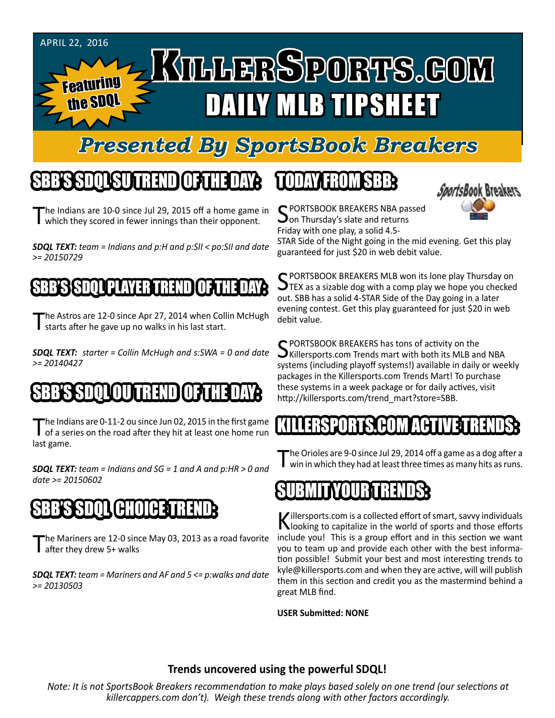

## *Presented By SportsBook Breakers*

#### SBB'S SDQL SU TREND OF THE DAY:

The Indians are 10-0 since Jul 29, 2015 off a home game in which they scored in fewer innings than their opponent.

*SDQL TEXT: team = Indians and p:H and p:SII < po:SII and date >= 20150729*

#### S**BASS** (TITULE) VAYER TRENDI

The Astros are 12-0 since Apr 27, 2014 when Collin McHugh I starts after he gave up no walks in his last start.

*SDQL TEXT: starter = Collin McHugh and s:SWA = 0 and date >= 20140427*

# SD OU TREND OF THE DAY OF THE DAY: THE DAY OF THE DAY: THE DAY

The Indians are 0-11-2 ou since Jun 02, 2015 in the first game<br>
of a series on the road after they hit at least one home run last game.

*SDQL TEXT: team = Indians and SG = 1 and A and p:HR > 0 and date >= 20150602*

# SBB'S SDQL CHOICE TREND

he Mariners are 12-0 since May 03, 2013 as a road favorite after they drew 5+ walks

*SDQL TEXT: team = Mariners and AF and 5 <= p:walks and date >= 20130503*

# TODAY HAOMSBB



C PORTSBOOK BREAKERS NBA passed  $\mathbf{\cup}$  on Thursday's slate and returns Friday with one play, a solid 4.5-

STAR Side of the Night going in the mid evening. Get this play guaranteed for just \$20 in web debit value.

SPORTSBOOK BREAKERS MLB won its lone play Thursday on<br>STEX as a sizable dog with a comp play we hope you checked out. SBB has a solid 4-STAR Side of the Day going in a later evening contest. Get this play guaranteed for just \$20 in web debit value.

SPORTSBOOK BREAKERS has tons of activity on the<br>SKillersports.com Trends mart with both its MLB and NBA systems (including playoff systems!) available in daily or weekly packages in the Killersports.com Trends Mart! To purchase these systems in a week package or for daily actives, visit http://killersports.com/trend\_mart?store=SBB.

#### S.COM ACT

The Orioles are 9-0 since Jul 29, 2014 off a game as a dog after a<br>win in which they had at least three times as many hits as runs.

#### SUBMITYOUR TRENDS:

Killersports.com is a collected effort of smart, savvy individuals<br>Nooking to capitalize in the world of sports and those efforts include you! This is a group effort and in this section we want you to team up and provide each other with the best information possible! Submit your best and most interesting trends to kyle@killersports.com and when they are active, will will publish them in this section and credit you as the mastermind behind a great MLB find.

**USER Submitted: NONE**

#### **Trends uncovered using the powerful SDQL!**

*Note: It is not SportsBook Breakers recommendation to make plays based solely on one trend (our selections at killercappers.com don't). Weigh these trends along with other factors accordingly.*